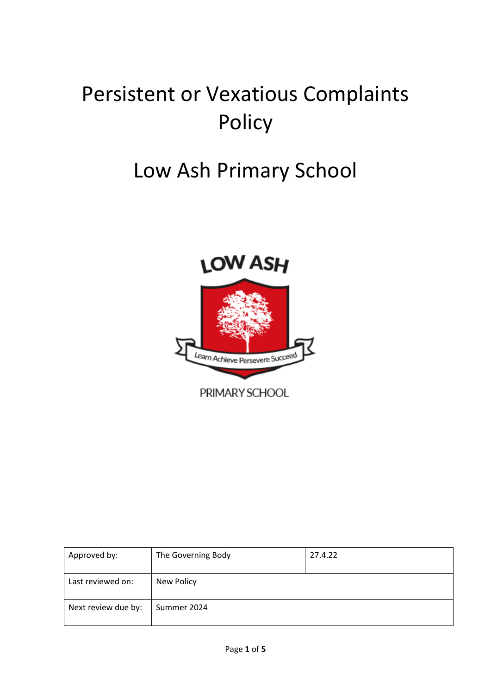# Persistent or Vexatious Complaints Policy

## Low Ash Primary School



PRIMARY SCHOOL

| Approved by:        | The Governing Body | 27.4.22 |
|---------------------|--------------------|---------|
| Last reviewed on:   | New Policy         |         |
| Next review due by: | Summer 2024        |         |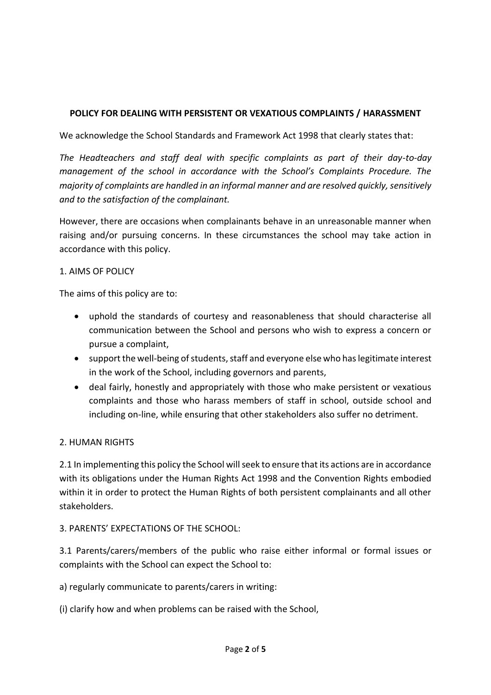### **POLICY FOR DEALING WITH PERSISTENT OR VEXATIOUS COMPLAINTS / HARASSMENT**

We acknowledge the School Standards and Framework Act 1998 that clearly states that:

*The Headteachers and staff deal with specific complaints as part of their day-to-day management of the school in accordance with the School's Complaints Procedure. The majority of complaints are handled in an informal manner and are resolved quickly, sensitively and to the satisfaction of the complainant.*

However, there are occasions when complainants behave in an unreasonable manner when raising and/or pursuing concerns. In these circumstances the school may take action in accordance with this policy.

#### 1. AIMS OF POLICY

The aims of this policy are to:

- uphold the standards of courtesy and reasonableness that should characterise all communication between the School and persons who wish to express a concern or pursue a complaint,
- support the well-being of students, staff and everyone else who has legitimate interest in the work of the School, including governors and parents,
- deal fairly, honestly and appropriately with those who make persistent or vexatious complaints and those who harass members of staff in school, outside school and including on-line, while ensuring that other stakeholders also suffer no detriment.

#### 2. HUMAN RIGHTS

2.1 In implementing this policy the School will seek to ensure that its actions are in accordance with its obligations under the Human Rights Act 1998 and the Convention Rights embodied within it in order to protect the Human Rights of both persistent complainants and all other stakeholders.

#### 3. PARENTS' EXPECTATIONS OF THE SCHOOL:

3.1 Parents/carers/members of the public who raise either informal or formal issues or complaints with the School can expect the School to:

a) regularly communicate to parents/carers in writing:

(i) clarify how and when problems can be raised with the School,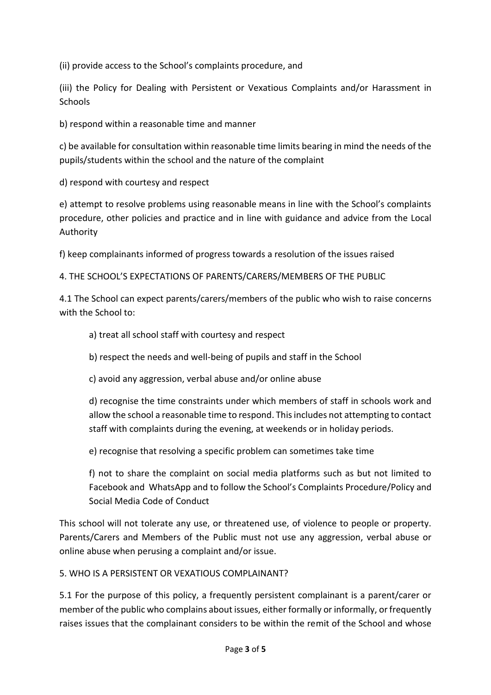(ii) provide access to the School's complaints procedure, and

(iii) the Policy for Dealing with Persistent or Vexatious Complaints and/or Harassment in **Schools** 

b) respond within a reasonable time and manner

c) be available for consultation within reasonable time limits bearing in mind the needs of the pupils/students within the school and the nature of the complaint

d) respond with courtesy and respect

e) attempt to resolve problems using reasonable means in line with the School's complaints procedure, other policies and practice and in line with guidance and advice from the Local Authority

f) keep complainants informed of progress towards a resolution of the issues raised

4. THE SCHOOL'S EXPECTATIONS OF PARENTS/CARERS/MEMBERS OF THE PUBLIC

4.1 The School can expect parents/carers/members of the public who wish to raise concerns with the School to:

- a) treat all school staff with courtesy and respect
- b) respect the needs and well-being of pupils and staff in the School
- c) avoid any aggression, verbal abuse and/or online abuse

d) recognise the time constraints under which members of staff in schools work and allow the school a reasonable time to respond. This includes not attempting to contact staff with complaints during the evening, at weekends or in holiday periods.

e) recognise that resolving a specific problem can sometimes take time

f) not to share the complaint on social media platforms such as but not limited to Facebook and WhatsApp and to follow the School's Complaints Procedure/Policy and Social Media Code of Conduct

This school will not tolerate any use, or threatened use, of violence to people or property. Parents/Carers and Members of the Public must not use any aggression, verbal abuse or online abuse when perusing a complaint and/or issue.

5. WHO IS A PERSISTENT OR VEXATIOUS COMPLAINANT?

5.1 For the purpose of this policy, a frequently persistent complainant is a parent/carer or member of the public who complains about issues, either formally or informally, or frequently raises issues that the complainant considers to be within the remit of the School and whose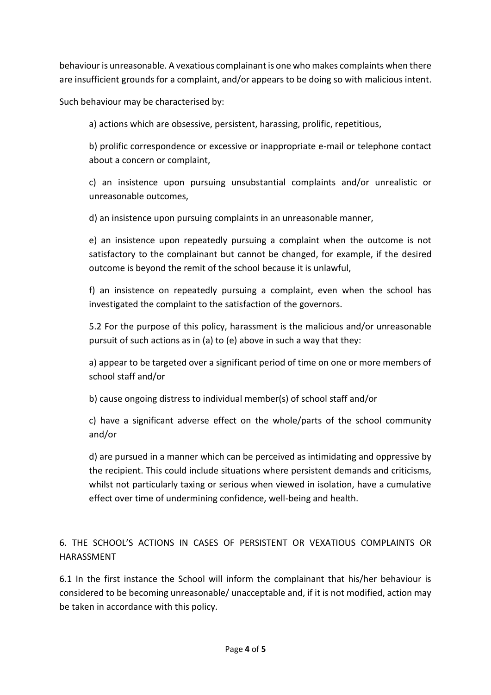behaviour is unreasonable. A vexatious complainant is one who makes complaints when there are insufficient grounds for a complaint, and/or appears to be doing so with malicious intent.

Such behaviour may be characterised by:

a) actions which are obsessive, persistent, harassing, prolific, repetitious,

b) prolific correspondence or excessive or inappropriate e-mail or telephone contact about a concern or complaint,

c) an insistence upon pursuing unsubstantial complaints and/or unrealistic or unreasonable outcomes,

d) an insistence upon pursuing complaints in an unreasonable manner,

e) an insistence upon repeatedly pursuing a complaint when the outcome is not satisfactory to the complainant but cannot be changed, for example, if the desired outcome is beyond the remit of the school because it is unlawful,

f) an insistence on repeatedly pursuing a complaint, even when the school has investigated the complaint to the satisfaction of the governors.

5.2 For the purpose of this policy, harassment is the malicious and/or unreasonable pursuit of such actions as in (a) to (e) above in such a way that they:

a) appear to be targeted over a significant period of time on one or more members of school staff and/or

b) cause ongoing distress to individual member(s) of school staff and/or

c) have a significant adverse effect on the whole/parts of the school community and/or

d) are pursued in a manner which can be perceived as intimidating and oppressive by the recipient. This could include situations where persistent demands and criticisms, whilst not particularly taxing or serious when viewed in isolation, have a cumulative effect over time of undermining confidence, well-being and health.

6. THE SCHOOL'S ACTIONS IN CASES OF PERSISTENT OR VEXATIOUS COMPLAINTS OR HARASSMENT

6.1 In the first instance the School will inform the complainant that his/her behaviour is considered to be becoming unreasonable/ unacceptable and, if it is not modified, action may be taken in accordance with this policy.